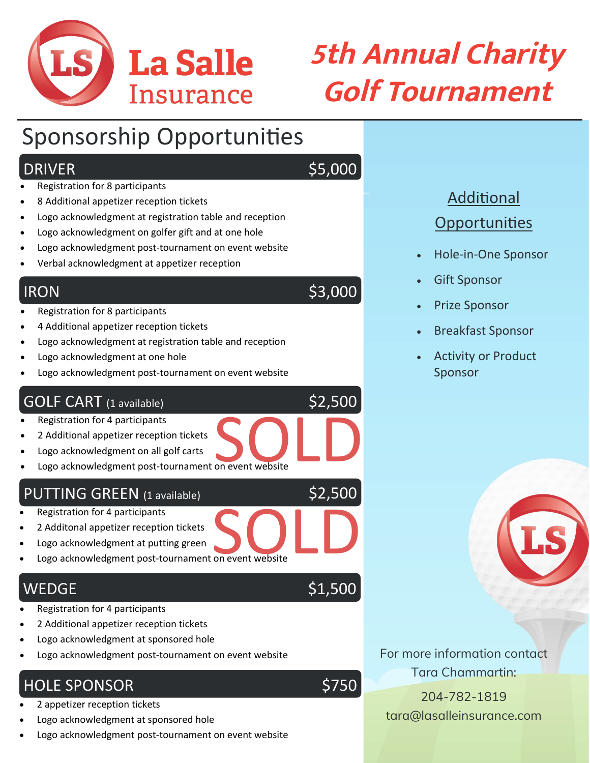

# **5th Annual Charity Golf Tournament**

## Sponsorship Opportunities

#### DRIVER \$5,000

• Registration for 8 participants

- 8 Additional appetizer reception tickets
- Logo acknowledgment at registration table and reception
- Logo acknowledgment on golfer gift and at one hole
- Logo acknowledgment post-tournament on event website
- Verbal acknowledgment at appetizer reception

#### $IRON$  \$3,000

- Registration for 8 participants
- 4 Additional appetizer reception tickets
- Logo acknowledgment at registration table and reception
- Logo acknowledgment at one hole
- Logo acknowledgment post-tournament on event website

#### GOLF CART (1 available) \$2,500

- Registration for 4 participants
- 2 Additional appetizer reception tickets
- Logo acknowledgment on all golf carts
- Logo acknowledgment post-tournament on event website SOLD<br><sub>on event website</sub>

#### PUTTING GREEN (1 available)

- Registration for 4 participants
- 2 Additonal appetizer reception tickets
- Logo acknowledgment at putting green
- Logo acknowledgment post-tournament on event website SOLD<br>on event website

#### $WEDGE$  \$1,500

- Registration for 4 participants
- 2 Additional appetizer reception tickets
- Logo acknowledgment at sponsored hole
- Logo acknowledgment post-tournament on event website

#### HOLE SPONSOR **\$750**

- 2 appetizer reception tickets
- Logo acknowledgment at sponsored hole
- Logo acknowledgment post-tournament on event website

### Additional **Opportunities**

- Hole-in-One Sponsor
- **Gift Sponsor**
- Prize Sponsor
- Breakfast Sponsor
- Activity or Product Sponsor



For more information contact Tara Chammartin:

204-782-1819 tara@lasalleinsurance.com

\$2,500